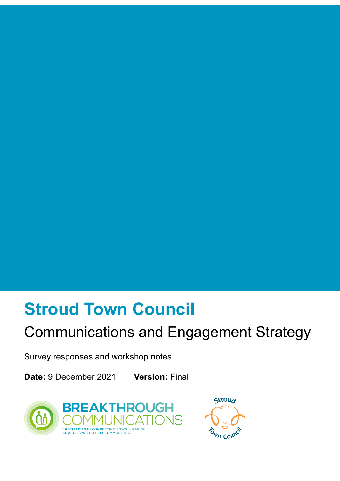# **Stroud Town Council**

# Communications and Engagement Strategy

Survey responses and workshop notes

**Date:** 9 December 2021 **Version:** Final



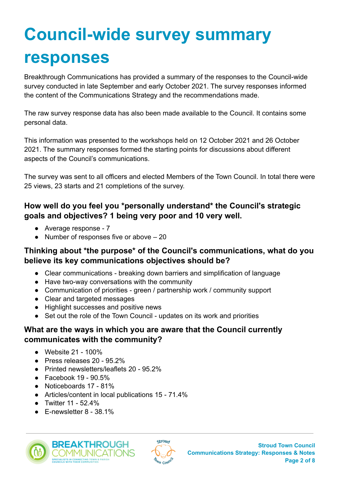# **Council-wide survey summary responses**

Breakthrough Communications has provided a summary of the responses to the Council-wide survey conducted in late September and early October 2021. The survey responses informed the content of the Communications Strategy and the recommendations made.

The raw survey response data has also been made available to the Council. It contains some personal data.

This information was presented to the workshops held on 12 October 2021 and 26 October 2021. The summary responses formed the starting points for discussions about different aspects of the Council's communications.

The survey was sent to all officers and elected Members of the Town Council. In total there were 25 views, 23 starts and 21 completions of the survey.

#### **How well do you feel you \*personally understand\* the Council's strategic goals and objectives? 1 being very poor and 10 very well.**

- Average response 7
- Number of responses five or above  $-20$

#### **Thinking about \*the purpose\* of the Council's communications, what do you believe its key communications objectives should be?**

- Clear communications breaking down barriers and simplification of language
- Have two-way conversations with the community
- Communication of priorities green / partnership work / community support
- Clear and targeted messages
- Highlight successes and positive news
- Set out the role of the Town Council updates on its work and priorities

#### **What are the ways in which you are aware that the Council currently communicates with the community?**

- Website 21 100%
- Press releases 20 95.2%
- Printed newsletters/leaflets 20 95.2%
- $\bullet$  Facebook 19 90.5%
- Noticeboards 17 81%
- Articles/content in local publications 15 71.4%
- Twitter 11 52.4%
- F-newsletter 8 38.1%



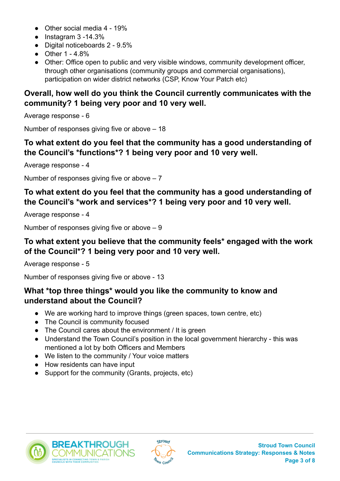- Other social media 4 19%
- Instagram 3 -14.3%
- Digital noticeboards 2 9.5%
- Other 1 4.8%
- Other: Office open to public and very visible windows, community development officer, through other organisations (community groups and commercial organisations), participation on wider district networks (CSP, Know Your Patch etc)

#### **Overall, how well do you think the Council currently communicates with the community? 1 being very poor and 10 very well.**

Average response - 6

Number of responses giving five or above – 18

# **To what extent do you feel that the community has a good understanding of the Council's \*functions\*? 1 being very poor and 10 very well.**

Average response - 4

Number of responses giving five or above  $-7$ 

#### **To what extent do you feel that the community has a good understanding of the Council's \*work and services\*? 1 being very poor and 10 very well.**

Average response - 4

Number of responses giving five or above – 9

# **To what extent you believe that the community feels\* engaged with the work of the Council\*? 1 being very poor and 10 very well.**

Average response - 5

Number of responses giving five or above - 13

# **What \*top three things\* would you like the community to know and understand about the Council?**

- We are working hard to improve things (green spaces, town centre, etc)
- The Council is community focused
- The Council cares about the environment / It is green
- Understand the Town Council's position in the local government hierarchy this was mentioned a lot by both Officers and Members
- We listen to the community / Your voice matters
- How residents can have input
- Support for the community (Grants, projects, etc)





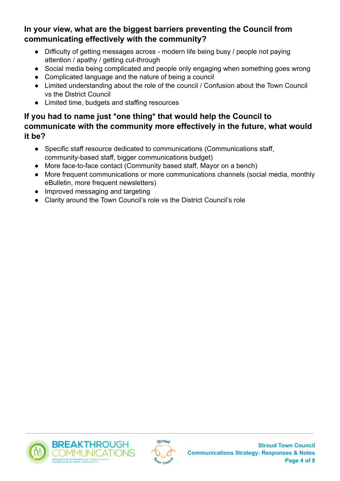**In your view, what are the biggest barriers preventing the Council from communicating effectively with the community?**

- Difficulty of getting messages across modern life being busy / people not paying attention / apathy / getting cut-through
- Social media being complicated and people only engaging when something goes wrong
- Complicated language and the nature of being a council
- Limited understanding about the role of the council / Confusion about the Town Council vs the District Council
- Limited time, budgets and staffing resources

# **If you had to name just \*one thing\* that would help the Council to communicate with the community more effectively in the future, what would it be?**

- Specific staff resource dedicated to communications (Communications staff, community-based staff, bigger communications budget)
- More face-to-face contact (Community based staff, Mayor on a bench)
- More frequent communications or more communications channels (social media, monthly eBulletin, more frequent newsletters)
- Improved messaging and targeting
- Clarity around the Town Council's role vs the District Council's role



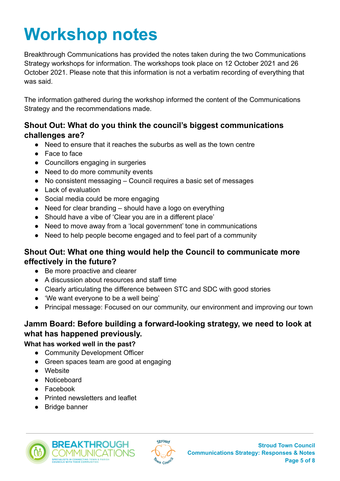# **Workshop notes**

Breakthrough Communications has provided the notes taken during the two Communications Strategy workshops for information. The workshops took place on 12 October 2021 and 26 October 2021. Please note that this information is not a verbatim recording of everything that was said.

The information gathered during the workshop informed the content of the Communications Strategy and the recommendations made.

#### **Shout Out: What do you think the council's biggest communications challenges are?**

- Need to ensure that it reaches the suburbs as well as the town centre
- Face to face
- Councillors engaging in surgeries
- Need to do more community events
- No consistent messaging Council requires a basic set of messages
- Lack of evaluation
- Social media could be more engaging
- Need for clear branding should have a logo on everything
- Should have a vibe of 'Clear you are in a different place'
- Need to move away from a 'local government' tone in communications
- Need to help people become engaged and to feel part of a community

#### **Shout Out: What one thing would help the Council to communicate more effectively in the future?**

- Be more proactive and clearer
- A discussion about resources and staff time
- Clearly articulating the difference between STC and SDC with good stories
- 'We want everyone to be a well being'
- Principal message: Focused on our community, our environment and improving our town

#### **Jamm Board: Before building a forward-looking strategy, we need to look at what has happened previously.**

#### **What has worked well in the past?**

- Community Development Officer
- Green spaces team are good at engaging
- Website
- Noticeboard
- Facebook
- Printed newsletters and leaflet
- Bridge banner



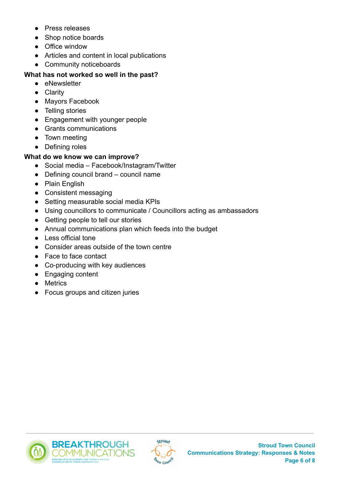- Press releases
- Shop notice boards
- Office window
- Articles and content in local publications
- Community noticeboards

#### **What has not worked so well in the past?**

- eNewsletter
- Clarity
- Mayors Facebook
- Telling stories
- Engagement with younger people
- Grants communications
- Town meeting
- Defining roles

#### **What do we know we can improve?**

- Social media Facebook/Instagram/Twitter
- Defining council brand council name
- Plain English
- Consistent messaging
- Setting measurable social media KPIs
- Using councillors to communicate / Councillors acting as ambassadors
- Getting people to tell our stories
- Annual communications plan which feeds into the budget
- Less official tone
- Consider areas outside of the town centre
- Face to face contact
- Co-producing with key audiences
- Engaging content
- Metrics
- Focus groups and citizen juries



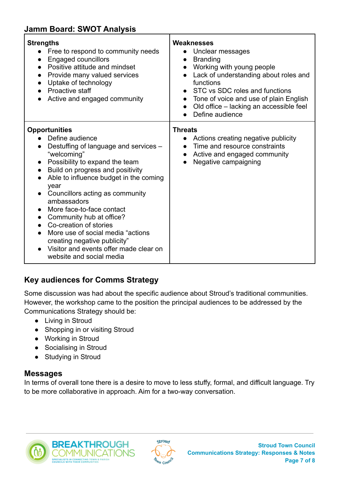# **Jamm Board: SWOT Analysis**

| <b>Strengths</b><br>Free to respond to community needs<br><b>Engaged councillors</b><br>Positive attitude and mindset<br>Provide many valued services<br>Uptake of technology<br>Proactive staff<br>Active and engaged community                                                                                                                                                                                                                                                                                      | <b>Weaknesses</b><br>Unclear messages<br><b>Branding</b><br>$\bullet$<br>Working with young people<br>Lack of understanding about roles and<br>$\bullet$<br>functions<br>STC vs SDC roles and functions<br>Tone of voice and use of plain English<br>$\bullet$<br>Old office – lacking an accessible feel<br>Define audience |
|-----------------------------------------------------------------------------------------------------------------------------------------------------------------------------------------------------------------------------------------------------------------------------------------------------------------------------------------------------------------------------------------------------------------------------------------------------------------------------------------------------------------------|------------------------------------------------------------------------------------------------------------------------------------------------------------------------------------------------------------------------------------------------------------------------------------------------------------------------------|
| <b>Opportunities</b><br>Define audience<br>Destuffing of language and services -<br>"welcoming"<br>Possibility to expand the team<br>Build on progress and positivity<br>Able to influence budget in the coming<br>year<br>Councillors acting as community<br>$\bullet$<br>ambassadors<br>More face-to-face contact<br>Community hub at office?<br>Co-creation of stories<br>More use of social media "actions"<br>creating negative publicity"<br>Visitor and events offer made clear on<br>website and social media | <b>Threats</b><br>Actions creating negative publicity<br>Time and resource constraints<br>Active and engaged community<br>$\bullet$<br>Negative campaigning                                                                                                                                                                  |

# **Key audiences for Comms Strategy**

Some discussion was had about the specific audience about Stroud's traditional communities. However, the workshop came to the position the principal audiences to be addressed by the Communications Strategy should be:

- Living in Stroud
- Shopping in or visiting Stroud
- Working in Stroud
- Socialising in Stroud
- Studying in Stroud

#### **Messages**

In terms of overall tone there is a desire to move to less stuffy, formal, and difficult language. Try to be more collaborative in approach. Aim for a two-way conversation.